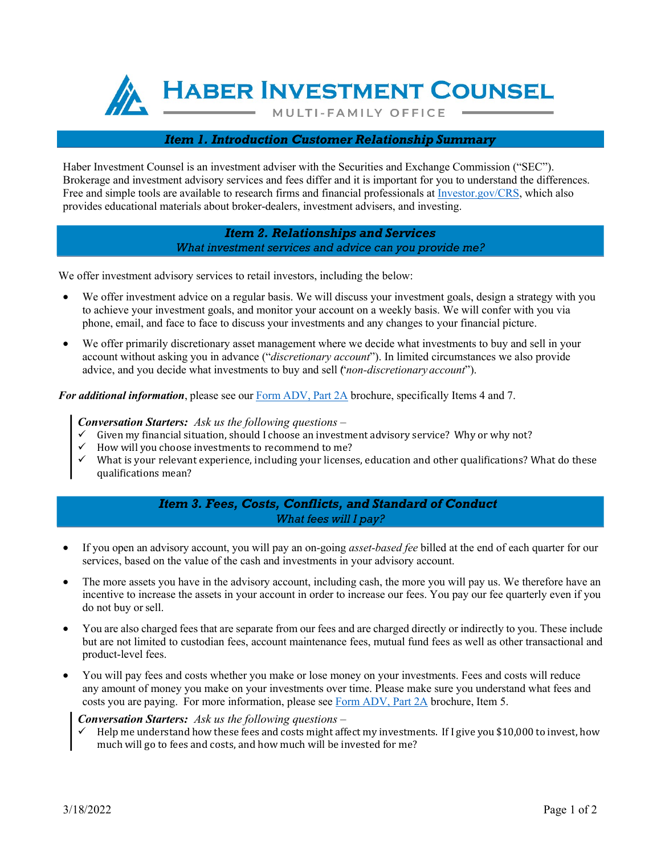**HABER INVESTMENT COUNSEL** 

**MULTI-FAMILY OFFICE** 

### *Item 1. Introduction Customer Relationship Summary*

Haber Investment Counsel is an investment adviser with the Securities and Exchange Commission ("SEC"). Brokerage and investment advisory services and fees differ and it is important for you to understand the differences. Free and simple tools are available to research firms and financial professionals at [Investor.gov/CRS, w](https://www.investor.gov/CRS)hich also provides educational materials about broker-dealers, investment advisers, and investing.

> *Item 2. Relationships and Services What investment services and advice can you provide me?*

We offer investment advisory services to retail investors, including the below:

- We offer investment advice on a regular basis. We will discuss your investment goals, design a strategy with you to achieve your investment goals, and monitor your account on a weekly basis. We will confer with you via phone, email, and face to face to discuss your investments and any changes to your financial picture.
- We offer primarily discretionary asset management where we decide what investments to buy and sell in your account without asking you in advance ("*discretionary account*"). In limited circumstances we also provide advice, and you decide what investments to buy and sell ("*non‐discretionary account*").

*For additional information*, please see our Form [ADV,](https://files.adviserinfo.sec.gov/IAPD/Content/Common/crd_iapd_Brochure.aspx?BRCHR_VRSN_ID=608590) Part 2A brochure, specifically Items 4 and 7.

#### *Conversation Starters: Ask us the following questions –*

- Given my financial situation, should I choose an investment advisory service? Why or why not?<br>  $\checkmark$  How will you choose investments to recommend to me?
- How will you choose investments to recommend to me?
- What is your relevant experience, including your licenses, education and other qualifications? What do these qualifications mean?

## *Item 3. Fees, Costs, Conflicts, and Standard of Conduct What fees will I pay?*

- If you open an advisory account, you will pay an on-going *asset-based fee* billed at the end of each quarter for our services, based on the value of the cash and investments in your advisory account.
- The more assets you have in the advisory account, including cash, the more you will pay us. We therefore have an incentive to increase the assets in your account in order to increase our fees. You pay our fee quarterly even if you do not buy or sell.
- You are also charged fees that are separate from our fees and are charged directly or indirectly to you. These include but are not limited to custodian fees, account maintenance fees, mutual fund fees as well as other transactional and product-level fees.
- You will pay fees and costs whether you make or lose money on your investments. Fees and costs will reduce any amount of money you make on your investments over time. Please make sure you understand what fees and costs you are paying. For more information, please see Form [ADV, Part](https://files.adviserinfo.sec.gov/IAPD/Content/Common/crd_iapd_Brochure.aspx?BRCHR_VRSN_ID=608590) 2A brochure, Item 5.

# *Conversation Starters: Ask us the following questions –*

 Help me understand how these fees and costs might affect my investments. If I give you \$10,000 to invest, how much will go to fees and costs, and how much will be invested for me?